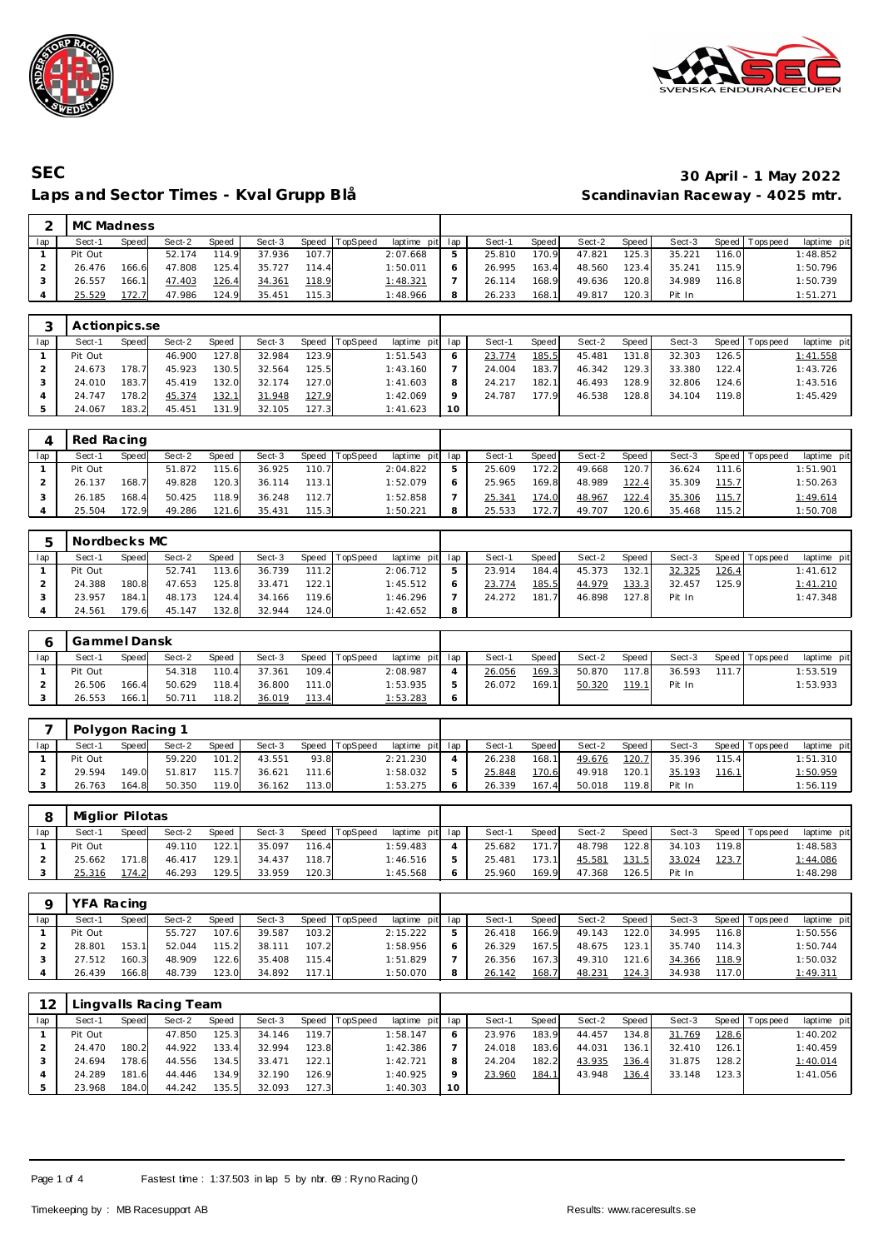



# **SEC 30 April - 1 May 2022** Laps and Sector Times - Kval Grupp Blå

| $\sim$ | MC Madness    |       |        |       |        |       |                |                 |   |        |       |        |       |        |       |                |             |
|--------|---------------|-------|--------|-------|--------|-------|----------------|-----------------|---|--------|-------|--------|-------|--------|-------|----------------|-------------|
| lap    | Sect-1        | Speed | Sect-2 | Speed | Sect-3 |       | Speed TopSpeed | laptime pit lap |   | Sect-1 | Speed | Sect-2 | Speed | Sect-3 |       | Speed Topspeed | laptime pit |
|        | Pit Out       |       | 52.174 | 114.9 | 37.936 | 107.7 |                | 2:07.668        | 5 | 25.810 | 170.9 | 47.821 | 125.3 | 35.221 | 116.0 |                | 1:48.852    |
|        | 26.476        | 166.6 | 47.808 | 125.4 | 35.727 | 114.4 |                | 1:50.011        | 6 | 26.995 | 163.4 | 48.560 | 123.4 | 35.241 | 115.9 |                | 1:50.796    |
|        | 26.557        | 166.1 | 47.403 | 126.4 | 34.361 | 118.9 |                | 1:48.321        |   | 26.114 | 168.9 | 49.636 | 120.8 | 34.989 | 116.8 |                | 1:50.739    |
| 4      | 25.529        | 172.7 | 47.986 | 124.9 | 35.451 | 115.3 |                | 1:48.966        | 8 | 26.233 | 168.1 | 49.817 | 120.3 | Pit In |       |                | 1:51.271    |
|        |               |       |        |       |        |       |                |                 |   |        |       |        |       |        |       |                |             |
| ◠      | Actionnics so |       |        |       |        |       |                |                 |   |        |       |        |       |        |       |                |             |

|     | Actionpics.se |       |        |       |        |       |          |                 |           |        |       |        |       |        |       |                 |             |
|-----|---------------|-------|--------|-------|--------|-------|----------|-----------------|-----------|--------|-------|--------|-------|--------|-------|-----------------|-------------|
| lap | Sect-1        | Speed | Sect-2 | Speed | Sect-3 | Speed | TopSpeed | laptime pit lap |           | Sect-1 | Speed | Sect-2 | Speed | Sect-3 |       | Speed Tops peed | laptime pit |
|     | Pit Out       |       | 46.900 | 127.8 | 32.984 | 123.9 |          | 1:51.543        | O         | 23.774 | 185.5 | 45.481 | 131.8 | 32.303 | 126.5 |                 | 1:41.558    |
|     | 24.673        | 178.7 | 45.923 | 130.5 | 32.564 | 125.5 |          | 1:43.160        |           | 24.004 | 183.7 | 46.342 | 129.3 | 33.380 | 122.4 |                 | 1:43.726    |
|     | 24.010        | 183.7 | 45.419 | 132.0 | 32.174 | 127.0 |          | 1:41.603        | 8         | 24.217 | 182.1 | 46.493 | 128.9 | 32.806 | 124.6 |                 | 1:43.516    |
|     | 24.747        | 178.2 | 45.374 | 132.1 | 31.948 | 127.9 |          | 1:42.069        | $\circ$   | 24.787 | 177.9 | 46.538 | 128.8 | 34.104 | 119.8 |                 | 1:45.429    |
|     | 24.067        | 183.2 | 45.451 | 131.9 | 32.105 | 127.3 |          | 1:41.623        | <b>10</b> |        |       |        |       |        |       |                 |             |

|     | Red Racing |       |        |       |        |       |                |                 |        |       |        |        |        |       |                 |             |
|-----|------------|-------|--------|-------|--------|-------|----------------|-----------------|--------|-------|--------|--------|--------|-------|-----------------|-------------|
| lap | Sect-1     | Speed | Sect-2 | Speed | Sect-3 |       | Speed TopSpeed | laptime pit lap | Sect-1 | Speed | Sect-2 | Speed  | Sect-3 |       | Speed Tops peed | laptime pit |
|     | Pit Out    |       | 51.872 | 115.6 | 36.925 | 110.7 |                | 2:04.822        | 25.609 | 172.2 | 49.668 | 120.71 | 36.624 | 111.6 |                 | 1:51.901    |
|     | 26.137     | 168.7 | 49.828 | 120.3 | 36.114 | 113.1 |                | 1:52.079        | 25.965 | 169.8 | 48.989 | 122.4  | 35.309 | 115.7 |                 | 1:50.263    |
|     | 26.185     | 168.4 | 50.425 | 118.9 | 36.248 | 112.7 |                | 1:52.858        | 25.341 | 174.0 | 48.967 | 122.4  | 35.306 | 115.7 |                 | 1:49.614    |
|     | 25.504     | 172.9 | 49.286 | 121.6 | 35.431 | 115.3 |                | 1:50.221        | 25.533 | 172.7 | 49.707 | 120.6  | 35.468 | 115.2 |                 | 1:50.708    |

|     | Nordbecks MC |       |        |       |        |       |                |             |     |        |       |        |       |        |       |                 |             |
|-----|--------------|-------|--------|-------|--------|-------|----------------|-------------|-----|--------|-------|--------|-------|--------|-------|-----------------|-------------|
| lap | Sect-1       | Speed | Sect-2 | Speed | Sect-3 |       | Speed TopSpeed | laptime pit | lap | Sect-1 | Speed | Sect-2 | Speed | Sect-3 |       | Speed Tops peed | laptime pit |
|     | Pit Out      |       | 52.741 | 113.6 | 36.739 | 111.2 |                | 2:06.712    | ь   | 23.914 | 184.4 | 45.373 | 132.  | 32.325 | 126.4 |                 | 1:41.612    |
|     | 24.388       | 180.8 | 47.653 | 125.8 | 33.471 | 122.1 |                | 1:45.512    |     | 23.774 | 185.5 | 44.979 | 133.3 | 32.457 | 125.9 |                 | 1:41.210    |
|     | 23.957       | 184.1 | 48.173 | 124.4 | 34.166 | 119.6 |                | 1:46.296    |     | 24.272 | 181   | 46.898 | 127.8 | Pit In |       |                 | 1:47.348    |
|     | 24.561       | 179.6 | 45.147 | 132.8 | 32.944 | 124.0 |                | 1:42.652    | 8   |        |       |        |       |        |       |                 |             |

|     | Gammel Dansk |       |        |       |        |       |          |                 |   |        |       |        |       |        |       |                 |             |
|-----|--------------|-------|--------|-------|--------|-------|----------|-----------------|---|--------|-------|--------|-------|--------|-------|-----------------|-------------|
| lap | Sect-1       | Speed | Sect-2 | Speed | Sect-3 | Speed | TopSpeed | laptime pit lap |   | Sect-1 | Speed | Sect-2 | Speed | Sect-3 |       | Speed Tops peed | laptime pit |
|     | Pit Out      |       | 54.318 | 110.4 | 37.361 | 109.4 |          | 2:08.987        |   | 26.056 | 169.3 | 50.870 | 117.8 | 36.593 | 111.7 |                 | : 53.519    |
|     | 26.506       | 166.4 | 50.629 | 118.4 | 36.800 | 111.0 |          | 1:53.935        | 5 | 26.072 | 169.1 | 50.320 | 119.1 | Pit In |       |                 | 1:53.933    |
|     | 26.553       | 166.1 | 50.711 | 118.2 | 36.019 | 113.4 |          | 1:53.283        | Ô |        |       |        |       |        |       |                 |             |

|     | Polygon Racing 1 |       |        |       |        |       |                |                 |        |       |        |         |        |       |                   |              |
|-----|------------------|-------|--------|-------|--------|-------|----------------|-----------------|--------|-------|--------|---------|--------|-------|-------------------|--------------|
| lap | Sect-1           | Speed | Sect-2 | Speed | Sect-3 |       | Speed TopSpeed | laptime pit lap | Sect-1 | Speed | Sect-2 | Speed I | Sect-3 |       | Speed   Tops peed | laptime pitl |
|     | Pit Out          |       | 59.220 | 101.2 | 43.551 | 93.8  |                | 2:21.230        | 26.238 | 168.1 | 49.676 | 120.7   | 35.396 | 115.4 |                   | 1:51.310     |
|     | 29.594           | 149.0 | 51.817 | 115.7 | 36.621 | 111.6 |                | 1:58.032        | 25.848 | 170.6 | 49.918 | 120.1   | 35.193 | 116.1 |                   | 1:50.959     |
|     | 26.763           | 164.8 | 50.350 | 119.0 | 36.162 | 113.0 |                | 1:53.275        | 26.339 | 167.4 | 50.018 | 119.8   | Pit In |       |                   | 1:56.119     |

|     | Miglior Pilotas |       |        |       |        |       |                |                 |   |        |       |        |       |        |               |                |             |
|-----|-----------------|-------|--------|-------|--------|-------|----------------|-----------------|---|--------|-------|--------|-------|--------|---------------|----------------|-------------|
| lap | Sect-1          | Speed | Sect-2 | Speed | Sect-3 |       | Speed TopSpeed | laptime pit lap |   | Sect-1 | Speed | Sect-2 | Speed | Sect-3 |               | Speed Topspeed | laptime pit |
|     | Pit Out         |       | 49.110 | 122.1 | 35.097 | 116.4 |                | 1:59.483        |   | 25.682 | 171.7 | 48.798 | 122.8 | 34.103 | 119.8         |                | 1:48.583    |
|     | 25.662          | 171.8 | 46.417 | 129.1 | 34.437 | 118.7 |                | 1:46.516        | 5 | 25.481 | 173.1 | 45.581 | 131.5 | 33.024 | <u> 123.7</u> |                | 1:44.086    |
|     | 25.316          | 174.2 | 46.293 | 129.5 | 33.959 | 120.3 |                | 1:45.568        | 6 | 25.960 | 169.9 | 47.368 | 126.5 | Pit In |               |                | 1:48.298    |

|     | YFA Racing |        |        |       |        |       |                |             |              |        |               |        |       |        |       |                 |                 |
|-----|------------|--------|--------|-------|--------|-------|----------------|-------------|--------------|--------|---------------|--------|-------|--------|-------|-----------------|-----------------|
| lap | Sect-′     | Speed  | Sect-2 | Speed | Sect-3 |       | Speed TopSpeed | laptime pit | lap          | Sect-1 | Speed         | Sect-2 | Speed | Sect-3 |       | Speed Tops peed | laptime pit     |
|     | Pit Out    |        | 55.727 | 107.6 | 39.587 | 103.2 |                | 2:15.222    | ь            | 26.418 | 166.9         | 49.143 | 122.0 | 34.995 | 116.8 |                 | 1:50.556        |
|     | 28.801     | 153.1. | 52.044 | 115.2 | 38.111 | 107.2 |                | 1:58.956    | <sub>O</sub> | 26.329 | 167.5         | 48.675 | 123.1 | 35.740 | 114.3 |                 | 1:50.744        |
|     | 27.512     | 160.3  | 48.909 | 122.6 | 35.408 | 115.4 |                | 1:51.829    |              | 26.356 | 167.3         | 49.310 | 121.6 | 34.366 | 118.9 |                 | 1:50.032        |
|     | 26.439     | 166.8  | 48.739 | 123.0 | 34.892 | 117.1 |                | 1:50.070    | 8            | 26.142 | <u> 168.7</u> | 48.231 | 124.3 | 34.938 | 117.0 |                 | <u>1:49.311</u> |

| 12  |         |       | Lingvalls Racing Team |       |        |       |                |             |         |        |              |        |       |        |       |                 |             |
|-----|---------|-------|-----------------------|-------|--------|-------|----------------|-------------|---------|--------|--------------|--------|-------|--------|-------|-----------------|-------------|
| lap | Sect-1  | Speed | Sect-2                | Speed | Sect-3 |       | Speed TopSpeed | laptime pit | lap     | Sect-1 | Speed        | Sect-2 | Speed | Sect-3 |       | Speed Tops peed | laptime pit |
|     | Pit Out |       | 47.850                | 125.3 | 34.146 | 119.7 |                | 1:58.147    | O       | 23.976 | 183.9        | 44.457 | 134.8 | 31.769 | 128.6 |                 | 1:40.202    |
|     | 24.470  | 180.2 | 44.922                | 133.4 | 32.994 | 123.8 |                | 1:42.386    |         | 24.018 | 183.6        | 44.031 | 136.1 | 32.410 | 126.1 |                 | 1:40.459    |
|     | 24.694  | 78.6  | 44.556                | 134.5 | 33.471 | 122.1 |                | 1:42.721    | 8       | 24.204 | 182.2        | 43.935 | 136.4 | 31.875 | 128.2 |                 | 1:40.014    |
|     | 24.289  | 181.6 | 44.446                | 134.9 | 32.190 | 126.9 |                | 1:40.925    | $\circ$ | 23.960 | <u>184.1</u> | 43.948 | 136.4 | 33.148 | 123.3 |                 | 1:41.056    |
|     | 23.968  | 184.0 | 44.242                | 135.5 | 32.093 | 127.3 |                | 1:40.303    | 10      |        |              |        |       |        |       |                 |             |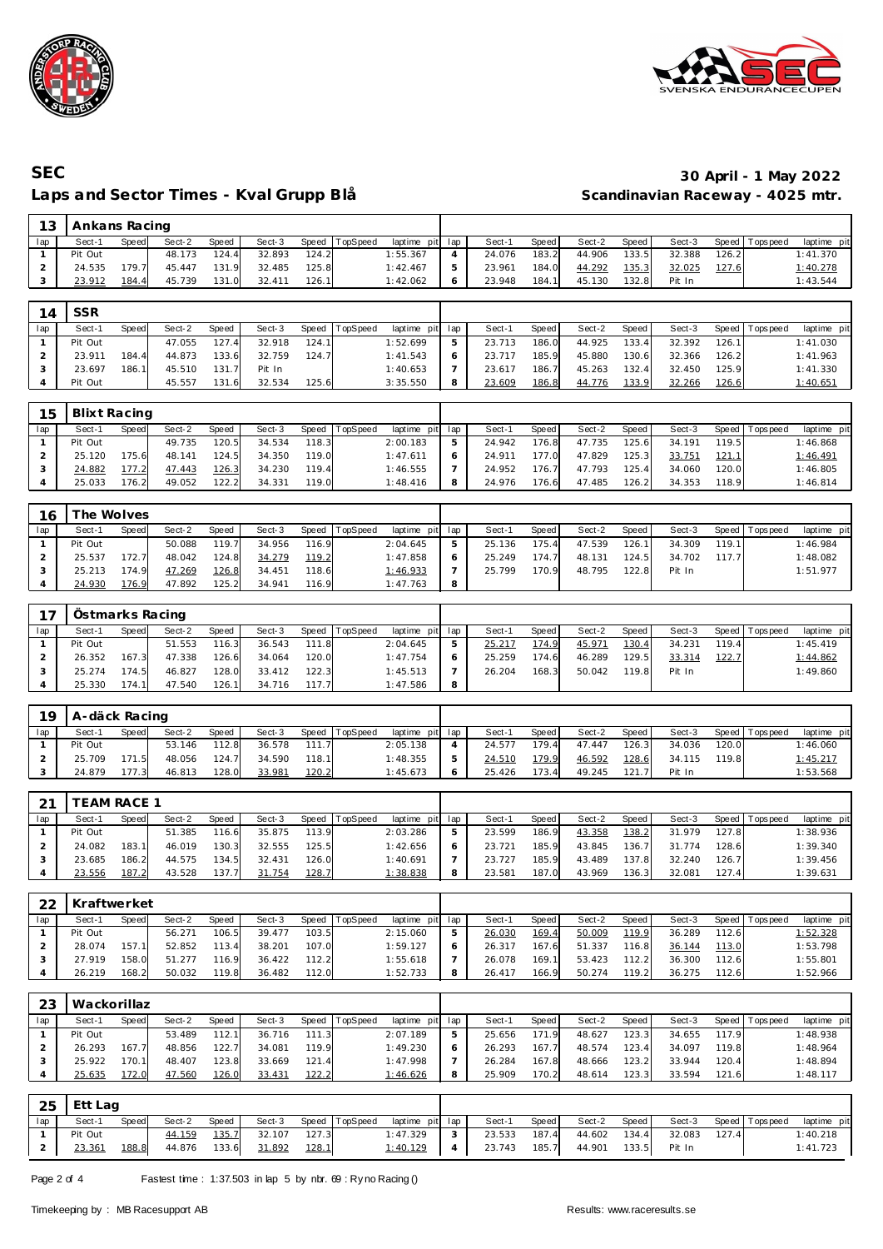



# **SEC 30 April - 1 May 2022** Laps and Sector Times - Kval Grupp Blå

| 13  | Ankans Racing |       |        |       |        |       |                |             |     |        |       |        |       |        |       |                  |             |  |
|-----|---------------|-------|--------|-------|--------|-------|----------------|-------------|-----|--------|-------|--------|-------|--------|-------|------------------|-------------|--|
| lap | Sect-1        | Speed | Sect-2 | Speed | Sect-3 |       | Speed TopSpeed | laptime pit | lap | Sect-1 | Speed | Sect-2 | Speed | Sect-3 |       | Speed   Topspeed | laptime pit |  |
|     | Pit Out       |       | 48.173 | 124.4 | 32.893 | 124.2 |                | 1:55.367    | 4   | 24.076 | 183.2 | 44.906 | 133.5 | 32.388 | 126.2 |                  | 1:41.370    |  |
|     | 24.535        | 179.7 | 45.447 | 131.9 | 32.485 | 125.8 |                | 1:42.467    | 5   | 23.961 | 184.0 | 44.292 | 135.3 | 32.025 | 127.6 |                  | 1:40.278    |  |
| 3   | 23.912        | 184.4 | 45.739 | 131.0 | 32.411 | 126.1 |                | 1:42.062    | 6   | 23.948 | 184.1 | 45.130 | 132.8 | Pit In |       |                  | 1:43.544    |  |
|     |               |       |        |       |        |       |                |             |     |        |       |        |       |        |       |                  |             |  |
| 14  | <b>SSR</b>    |       |        |       |        |       |                |             |     |        |       |        |       |        |       |                  |             |  |

| lap | Sect-'  | Speed | Sect-2 | Speed | Sect-3 | Speed | TopSpeed | laptime  | pit lap | Sect-1 | Speed | Sect-2 | Speed I | Sect-3 | Speed T | Tops peed | laptime pit     |
|-----|---------|-------|--------|-------|--------|-------|----------|----------|---------|--------|-------|--------|---------|--------|---------|-----------|-----------------|
|     | Pit Out |       | 47.055 | 127.4 | 32.918 | 124.1 |          | 1:52.699 |         | 23.713 | 186.0 | 44.925 | 133.4   | 32.392 | 126.1   |           | 1:41.030        |
|     | 23.911  | 184.4 | 44.873 | 133.6 | 32.759 | 124.7 |          | 1:41.543 |         | 23.717 | 185.9 | 45.880 | 130.6   | 32.366 | 126.2   |           | 1:41.963        |
|     | 23.697  | 186.1 | 45.510 | 131.7 | Pit In |       |          | 1:40.653 |         | 23.617 | 186.7 | 45.263 | 132.4   | 32.450 | 125.9   |           | 1:41.330        |
|     | Pit Out |       | 45.557 | 131.6 | 32.534 | 125.6 |          | 3:35.550 |         | 23.609 | 186.8 | 44.776 | 133.9   | 32.266 | 126.6   |           | <u>1:40.651</u> |

| 15  | Blixt Racing |       |        |       |        |       |                |                 |        |       |        |        |        |       |                 |             |
|-----|--------------|-------|--------|-------|--------|-------|----------------|-----------------|--------|-------|--------|--------|--------|-------|-----------------|-------------|
| lap | Sect-′       | Speed | Sect-2 | Speed | Sect-3 |       | Speed TopSpeed | laptime pit lap | Sect-1 | Speed | Sect-2 | Speed  | Sect-3 |       | Speed Tops peed | laptime pit |
|     | Pit Out      |       | 49.735 | 120.5 | 34.534 | 118.3 |                | 2:00.183        | 24.942 | 176.8 | 47.735 | 125.61 | 34.191 | 119.5 |                 | 1:46.868    |
|     | 25.120       | 175.6 | 48.141 | 124.5 | 34.350 | 119.0 |                | 1:47.611        | 24.911 | 177.0 | 47.829 | 125.3  | 33.751 | 121.1 |                 | 1:46.491    |
|     | 24.882       |       | 47.443 | 126.3 | 34.230 | 119.4 |                | 1:46.555        | 24.952 | 176.7 | 47.793 | 125.4  | 34.060 | 120.0 |                 | 1:46.805    |
|     | 25.033       | 176.2 | 49.052 | 122.2 | 34.331 | 119.0 |                | 1:48.416        | 24.976 | 176.6 | 47.485 | 126.2  | 34.353 | 118.9 |                 | 1:46.814    |

| 16  |         | he Wolves <sup>-</sup> |        |       |        |       |          |                 |   |        |                    |        |         |        |       |                 |             |
|-----|---------|------------------------|--------|-------|--------|-------|----------|-----------------|---|--------|--------------------|--------|---------|--------|-------|-----------------|-------------|
| lap | Sect-1  | Speed                  | Sect-2 | Speed | Sect-3 | Speed | TopSpeed | laptime pit lap |   | Sect-1 | Speed              | Sect-2 | Speed I | Sect-3 |       | Speed Tops peed | laptime pit |
|     | Pit Out |                        | 50.088 | 119.7 | 34.956 | 116.9 |          | 2:04.645        | ь | 25.136 | 175.41             | 47.539 | 126.1   | 34.309 | 119.1 |                 | 1:46.984    |
|     | 25.537  | 172.7                  | 48.042 | 124.8 | 34.279 | 119.2 |          | 1:47.858        |   | 25.249 | 174.7 <sub>1</sub> | 48.131 | 124.5   | 34.702 | 117.7 |                 | 1:48.082    |
|     | 25.213  | 174 91                 | 47.269 | 126.8 | 34.451 | 118.6 |          | <u>1:46.933</u> |   | 25.799 | 170.9              | 48.795 | 122.8   | Pit In |       |                 | 1:51.977    |
|     | 24.930  | 76.9                   | 47.892 | 125.2 | 34.941 | 116.9 |          | 1:47.763        |   |        |                    |        |         |        |       |                 |             |

| 17  | Ostmarks Racing |       |        |       |        |       |                |                 |   |        |       |        |       |        |       |                |             |
|-----|-----------------|-------|--------|-------|--------|-------|----------------|-----------------|---|--------|-------|--------|-------|--------|-------|----------------|-------------|
| lap | Sect-1          | Speed | Sect-2 | Speed | Sect-3 |       | Speed TopSpeed | laptime pit lap |   | Sect-1 | Speed | Sect-2 | Speed | Sect-3 |       | Speed Topspeed | laptime pit |
|     | Pit Out         |       | 51.553 | 116.3 | 36.543 | 111.8 |                | 2:04.645        |   | 25.217 | 174.9 | 45.971 | 130.4 | 34.231 | 119.4 |                | 1:45.419    |
|     | 26.352          | 167.3 | 47.338 | 126.6 | 34.064 | 120.0 |                | 1:47.754        |   | 25.259 | 174.6 | 46.289 | 129.5 | 33.314 | 122.7 |                | 1:44.862    |
|     | 25.274          | 174.5 | 46.827 | 128.0 | 33.412 | 122.3 |                | 1:45.513        |   | 26.204 | 168.3 | 50.042 | 119.8 | Pit In |       |                | 1:49.860    |
|     | 25.330          | 174 1 | 47.540 | 126.1 | 34.716 | 117.7 |                | 1:47.586        | 8 |        |       |        |       |        |       |                |             |

| 19  | A-däck Racing |       |        |              |        |       |                |                 |        |       |        |         |        |       |                   |             |
|-----|---------------|-------|--------|--------------|--------|-------|----------------|-----------------|--------|-------|--------|---------|--------|-------|-------------------|-------------|
| lap | Sect-1        | Speed | Sect-2 | <b>Speed</b> | Sect-3 |       | Speed TopSpeed | laptime pit lap | Sect-1 | Speed | Sect-2 | Speed I | Sect-3 |       | Speed   Tops peed | laptime pit |
|     | Pit Out       |       | 53.146 | 112.8        | 36.578 | 111.7 |                | 2:05.138        | 24.577 | 179.4 | 47.447 | 126.3   | 34.036 | 120.0 |                   | 1:46.060    |
|     | 25.709        | 171.5 | 48.056 | 124.7        | 34.590 | 118.1 |                | 1:48.355        | 24.510 | 179.9 | 46.592 | 128.6   | 34.115 | 119.8 |                   | 1:45.217    |
|     | 24.879        | 177.3 | 46.813 | 128.0        | 33.981 | 120.2 |                | 1:45.673        | 25.426 | 173.4 | 49.245 | 121.7   | Pit In |       |                   | 1:53.568    |

| ົດ 1 |         | EAM RACE 1 |        |       |        |       |          |                 |        |              |        |       |        |       |                 |             |
|------|---------|------------|--------|-------|--------|-------|----------|-----------------|--------|--------------|--------|-------|--------|-------|-----------------|-------------|
| lap  | Sect-1  | Speed      | Sect-2 | Speed | Sect-3 | Speed | TopSpeed | laptime pit lap | Sect-1 | <b>Speed</b> | Sect-2 | Speed | Sect-3 |       | Speed Tops peed | laptime pit |
|      | Pit Out |            | 51.385 | 116.6 | 35.875 | 113.9 |          | 2:03.286        | 23.599 | 186.9        | 43.358 | 138.2 | 31.979 | 127.8 |                 | 1:38.936    |
|      | 24.082  | 183.1      | 46.019 | 130.3 | 32.555 | 125.5 |          | 1:42.656        | 23.721 | 185.9        | 43.845 | 136.7 | 31.774 | 128.6 |                 | 1:39.340    |
|      | 23.685  | 186.2      | 44.575 | 134.5 | 32.431 | 126.0 |          | 1:40.691        | 23.727 | 185.9        | 43.489 | 137.8 | 32.240 | 126.7 |                 | 1:39.456    |
|      | 23.556  | 187.2      | 43.528 | 137.7 | 31.754 | 128.7 |          | <u>1:38.838</u> | 23.581 | 187.0        | 43.969 | 136.3 | 32.081 | 127.4 |                 | 1:39.631    |

| 22  | Kraftwerket |       |        |       |        |       |                |                 |        |       |        |       |        |       |                 |             |
|-----|-------------|-------|--------|-------|--------|-------|----------------|-----------------|--------|-------|--------|-------|--------|-------|-----------------|-------------|
| lap | Sect-1      | Speed | Sect-2 | Speed | Sect-3 |       | Speed TopSpeed | laptime pit lap | Sect-1 | Speed | Sect-2 | Speed | Sect-3 |       | Speed Tops peed | laptime pit |
|     | Pit Out     |       | 56.271 | 106.5 | 39.477 | 103.5 |                | 2:15.060        | 26.030 | 169.4 | 50.009 | 119.9 | 36.289 | 112.6 |                 | 1:52.328    |
|     | 28.074      | 157.1 | 52.852 | 113.4 | 38.201 | 107.0 |                | 1:59.127        | 26.317 | 167.6 | 51.337 | 116.8 | 36.144 | 113.0 |                 | 1:53.798    |
|     | 27.919      | 158.0 | 51.277 | 116.9 | 36.422 | 112.2 |                | 1:55.618        | 26.078 | 169.1 | 53.423 | 112.2 | 36.300 | 112.6 |                 | 1:55.801    |
|     | 26.219      | 168.2 | 50.032 | 119.8 | 36.482 | 112.0 |                | 1:52.733        | 26.417 | 166.9 | 50.274 | 119.2 | 36.275 | 112.6 |                 | 1:52.966    |

| 23  | Wackorillaz |       |        |       |        |       |          |             |     |        |       |        |                    |        |       |                 |             |
|-----|-------------|-------|--------|-------|--------|-------|----------|-------------|-----|--------|-------|--------|--------------------|--------|-------|-----------------|-------------|
| lap | Sect-1      | Speed | Sect-2 | Speed | Sect-3 | Speed | TopSpeed | laptime pit | lap | Sect-1 | Speed | Sect-2 | Speed              | Sect-3 |       | Speed Tops peed | laptime pit |
|     | Pit Out     |       | 53.489 | 112.1 | 36.716 | 111   |          | 2:07.189    | ь   | 25.656 | 171.9 | 48.627 | 123.3              | 34.655 | 117.9 |                 | 1:48.938    |
|     | 26.293      | 167.7 | 48.856 | 122.7 | 34.081 | 119.9 |          | 1:49.230    | O   | 26.293 | 167.7 | 48.574 | 123.4 <sub>1</sub> | 34.097 | 119.8 |                 | 1:48.964    |
|     | 25.922      | 170.1 | 48.407 | 123.8 | 33.669 | 121.4 |          | 1:47.998    |     | 26.284 | 167.8 | 48.666 | 123.2              | 33.944 | 120.4 |                 | 1:48.894    |
|     | 25.635      | 172.0 | 47.560 | 126.0 | 33.431 | 122.2 |          | 1:46.626    | 8   | 25.909 | 170.2 | 48.614 | 123.3              | 33.594 | 121.6 |                 | 1:48.117    |

|                | $25$ Ett Lag |       |               |       |        |              |                |                                             |        |       |                           |       |              |                   |             |
|----------------|--------------|-------|---------------|-------|--------|--------------|----------------|---------------------------------------------|--------|-------|---------------------------|-------|--------------|-------------------|-------------|
| lap I          | Sect-1       | Speed | Sect-2        | Speed | Sect-3 |              | Speed TopSpeed | laptime pit lap                             | Sect-1 | Speed | Sect-2                    | Speed | Sect-3       | Speed   Tops peed | laptime pit |
|                | Pit Out      |       | <u>44.159</u> | 135.7 | 32.107 | 127.3        |                | $1:47.329$ 3                                |        |       | 23.533 187.4 44.602 134.4 |       | 32.083 127.4 |                   | 1:40.218    |
| $\overline{2}$ | 23.361       | 188.8 | 44.876        | 133.6 | 31.892 | <u>128.1</u> |                | 1:40.129 4 23.743 185.7 44.901 133.5 Pit In |        |       |                           |       |              |                   | 1:41.723    |

Page 2 of 4 Fastest time : 1:37.503 in lap 5 by nbr. 69 : Ry no Racing ()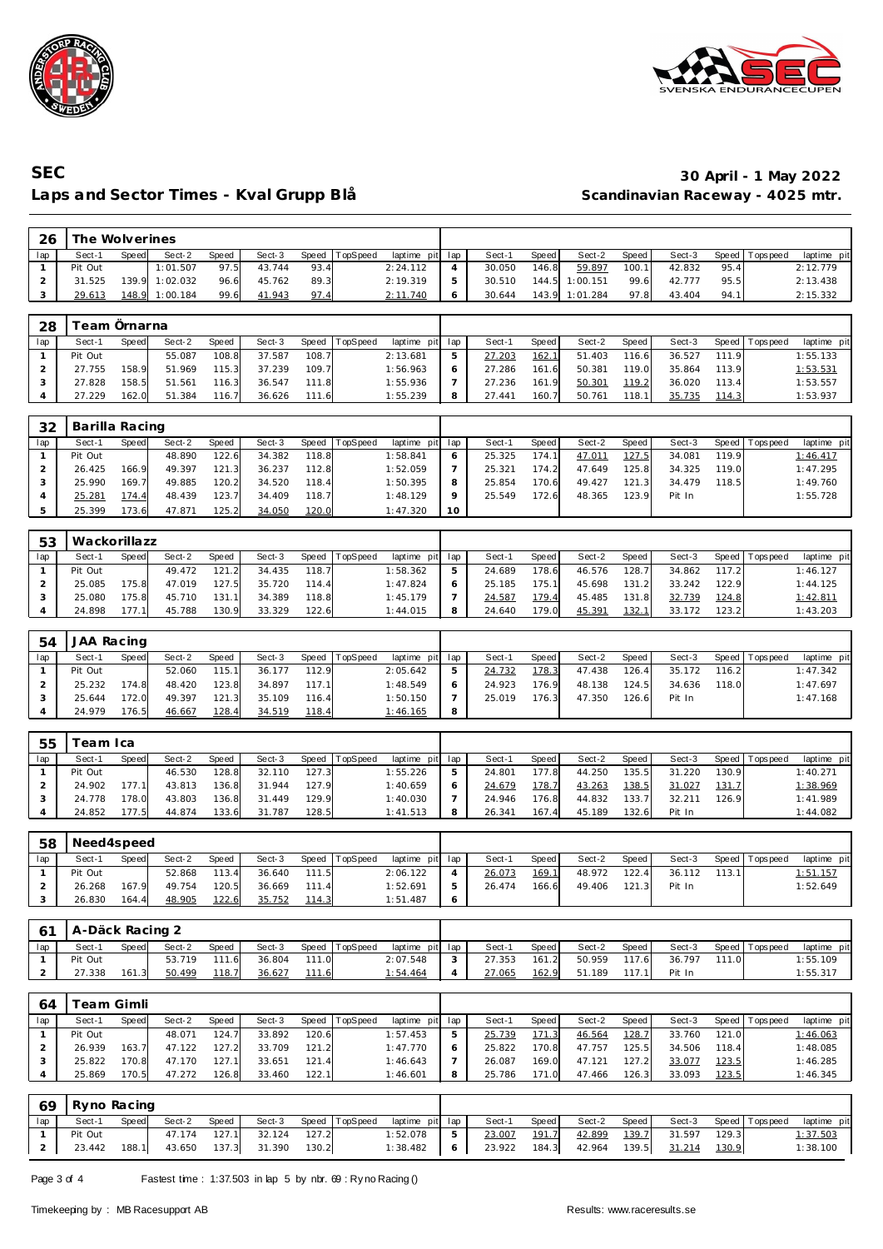



## **SEC 30 April - 1 May 2022** Laps and Sector Times - Kval Grupp Blå

| 26             | The Wolverines |       |          |       |        |       |          |             |                |        |       |          |       |        |       |           |             |
|----------------|----------------|-------|----------|-------|--------|-------|----------|-------------|----------------|--------|-------|----------|-------|--------|-------|-----------|-------------|
| lap            | Sect-1         | Speed | Sect-2   | Speed | Sect-3 | Speed | TopSpeed | laptime pit | lap            | Sect-1 | Speed | Sect-2   | Speed | Sect-3 | Speed | Tops peed | laptime pit |
| $\mathbf{1}$   | Pit Out        |       | 1:01.507 | 97.5  | 43.744 | 93.4  |          | 2:24.112    | $\overline{4}$ | 30.050 | 146.8 | 59.897   | 100.1 | 42.832 | 95.4  |           | 2:12.779    |
| $\overline{2}$ | 31.525         | 139.9 | 1:02.032 | 96.6  | 45.762 | 89.3  |          | 2:19.319    | 5              | 30.510 | 144.5 | 1:00.151 | 99.6  | 42.777 | 95.5  |           | 2:13.438    |
| 3              | 29.613         | 148.9 | 1:00.184 | 99.6  | 41.943 | 97.4  |          | 2:11.740    | 6              | 30.644 | 143.9 | 1:01.284 | 97.8  | 43.404 | 94.1  |           | 2:15.332    |
|                |                |       |          |       |        |       |          |             |                |        |       |          |       |        |       |           |             |
| 28             | Team Örnarna   |       |          |       |        |       |          |             |                |        |       |          |       |        |       |           |             |
| lap            | Sect-1         | Speed | Sect-2   | Speed | Sect-3 | Speed | TopSpeed | laptime pit | lap            | Sect-1 | Speed | $Sect-2$ | Speed | Sect-3 | Speed | Tops peed | laptime pit |
| $\mathbf{1}$   | Pit Out        |       | 55.087   | 108.8 | 37.587 | 108.7 |          | 2:13.681    | 5              | 27.203 | 162.1 | 51.403   | 116.6 | 36.527 | 111.9 |           | 1:55.133    |
| $\overline{2}$ | 27.755         | 158.9 | 51.969   | 115.3 | 37.239 | 109.7 |          | 1:56.963    | 6              | 27.286 | 161.6 | 50.381   | 119.0 | 35.864 | 113.9 |           | 1:53.531    |
| 3              | 27.828         | 158.5 | 51.561   | 116.3 | 36.547 | 111.8 |          | 1:55.936    | $\overline{7}$ | 27.236 | 161.9 | 50.301   | 119.2 | 36.020 | 113.4 |           | 1:53.557    |
| 4              | 27.229         | 162.0 | 51.384   | 116.7 | 36.626 | 111.6 |          | 1:55.239    | 8              | 27.441 | 160.7 | 50.761   | 118.1 | 35.735 | 114.3 |           | 1:53.937    |
|                |                |       |          |       |        |       |          |             |                |        |       |          |       |        |       |           |             |
| 32             | Barilla Racing |       |          |       |        |       |          |             |                |        |       |          |       |        |       |           |             |
| lap            | Sect-1         | Speed | Sect-2   | Speed | Sect-3 | Speed | TopSpeed | laptime pit | lap            | Sect-1 | Speed | Sect-2   | Speed | Sect-3 | Speed | Tops peed | laptime pit |
| $\mathbf{1}$   | Pit Out        |       | 48.890   | 122.6 | 34.382 | 118.8 |          | 1:58.841    | 6              | 25.325 | 174.1 | 47.011   | 127.5 | 34.081 | 119.9 |           | 1:46.417    |
| $\overline{2}$ | 26.425         | 166.9 | 49.397   | 121.3 | 36.237 | 112.8 |          | 1:52.059    | $\overline{7}$ | 25.321 | 174.2 | 47.649   | 125.8 | 34.325 | 119.0 |           | 1:47.295    |
| 3              | 25.990         | 169.7 | 49.885   | 120.2 | 34.520 | 118.4 |          | 1:50.395    | 8              | 25.854 | 170.6 | 49.427   | 121.3 | 34.479 | 118.5 |           | 1:49.760    |
| $\overline{4}$ | 25.281         | 174.4 | 48.439   | 123.7 | 34.409 | 118.7 |          | 1:48.129    | 9              | 25.549 | 172.6 | 48.365   | 123.9 | Pit In |       |           | 1:55.728    |
| 5              | 25.399         | 173.6 | 47.871   | 125.2 | 34.050 | 120.0 |          | 1:47.320    | 10             |        |       |          |       |        |       |           |             |
|                |                |       |          |       |        |       |          |             |                |        |       |          |       |        |       |           |             |
| 53             | Wackorillazz   |       |          |       |        |       |          |             |                |        |       |          |       |        |       |           |             |
| lap            | Sect-1         | Speed | Sect-2   | Speed | Sect-3 | Speed | TopSpeed | laptime pit | lap            | Sect-1 | Speed | Sect-2   | Speed | Sect-3 | Speed | Tops peed | laptime pit |
| $\mathbf{1}$   | Pit Out        |       | 49.472   | 121.2 | 34.435 | 118.7 |          | 1:58.362    | 5              | 24.689 | 178.6 | 46.576   | 128.7 | 34.862 | 117.2 |           | 1:46.127    |
| $\overline{2}$ | 25.085         | 175.8 | 47.019   | 127.5 | 35.720 | 114.4 |          | 1:47.824    | 6              | 25.185 | 175.1 | 45.698   | 131.2 | 33.242 | 122.9 |           | 1:44.125    |
| 3              | 25.080         | 175.8 | 45.710   | 131.1 | 34.389 | 118.8 |          | 1:45.179    | $\overline{7}$ | 24.587 | 179.4 | 45.485   | 131.8 | 32.739 | 124.8 |           | 1:42.811    |
| 4              | 24.898         | 177.1 | 45.788   | 130.9 | 33.329 | 122.6 |          | 1:44.015    | 8              | 24.640 | 179.0 | 45.391   | 132.1 | 33.172 | 123.2 |           | 1:43.203    |
|                |                |       |          |       |        |       |          |             |                |        |       |          |       |        |       |           |             |
| 54             | JAA Racing     |       |          |       |        |       |          |             |                |        |       |          |       |        |       |           |             |
| lap            | Sect-1         | Speed | Sect-2   | Speed | Sect-3 | Speed | TopSpeed | laptime pit | lap            | Sect-1 | Speed | Sect-2   | Speed | Sect-3 | Speed | Tops peed | laptime pit |
| $\mathbf{1}$   | Pit Out        |       | 52.060   | 115.1 | 36.177 | 112.9 |          | 2:05.642    | 5              | 24.732 | 178.3 | 47.438   | 126.4 | 35.172 | 116.2 |           | 1:47.342    |
| $\overline{2}$ | 25.232         | 174.8 | 48.420   | 123.8 | 34.897 | 117.1 |          | 1:48.549    | 6              | 24.923 | 176.9 | 48.138   | 124.5 | 34.636 | 118.0 |           | 1:47.697    |
| 3              | 25.644         | 172.0 | 49.397   | 121.3 | 35.109 | 116.4 |          | 1:50.150    | $\overline{7}$ | 25.019 | 176.3 | 47.350   | 126.6 | Pit In |       |           | 1:47.168    |
| 4              | 24.979         | 176.5 | 46.667   | 128.4 | 34.519 | 118.4 |          | 1:46.165    | 8              |        |       |          |       |        |       |           |             |

| 55  | 'eam Ica |       |        |       |        |       |                |             |     |        |       |        |       |        |       |                 |             |
|-----|----------|-------|--------|-------|--------|-------|----------------|-------------|-----|--------|-------|--------|-------|--------|-------|-----------------|-------------|
| lap | Sect-1   | Speed | Sect-2 | Speed | Sect-3 |       | Speed TopSpeed | laptime pit | lap | Sect-1 | Speed | Sect-2 | Speed | Sect-3 |       | Speed Tops peed | laptime pit |
|     | Pit Out  |       | 46.530 | 128.8 | 32.110 | 127.3 |                | 1:55.226    | 5   | 24.801 | 177.8 | 44.250 | 135.5 | 31.220 | 130.9 |                 | 1:40.271    |
|     | 24.902   | 177.1 | 43.813 | 136.8 | 31.944 | 127.9 |                | 1:40.659    | O   | 24.679 | 178.7 | 43.263 | 138.5 | 31.027 | 131.7 |                 | 1:38.969    |
|     | 24.778   | 178.0 | 43.803 | 136.8 | 31.449 | 129.9 |                | 1:40.030    |     | 24.946 | 176.8 | 44.832 | 133.7 | 32.211 | 126.9 |                 | 1:41.989    |
|     | 24.852   | 177.5 | 44.874 | 133.6 | 31.787 | 128.5 |                | 1:41.513    | 8   | 26.341 | 167.4 | 45.189 | 132.6 | Pit In |       |                 | 1:44.082    |

| 58  | Need4speed |       |        |       |        |       |          |                 |         |        |       |        |       |        |        |                   |                 |
|-----|------------|-------|--------|-------|--------|-------|----------|-----------------|---------|--------|-------|--------|-------|--------|--------|-------------------|-----------------|
| lap | Sect-1     | Speed | Sect-2 | Speed | Sect-3 | Speed | TopSpeed | laptime pit lap |         | Sect-1 | Speed | Sect-2 | Speed | Sect-3 |        | Speed   Tops peed | laptime pit     |
|     | Pit Out    |       | 52.868 | 113.4 | 36.640 | 111.5 |          | 2:06.122        |         | 26.073 | 169.1 | 48.972 | 122.4 | 36.112 | 113.11 |                   | <u>1:51.157</u> |
|     | 26.268     | 167.9 | 49.754 | 120.5 | 36.669 | 111.4 |          | 1:52.691        | 5       | 26.474 | 166.6 | 49.406 | 121.3 | Pit In |        |                   | 1:52.649        |
|     | 26.830     | 164.4 | 48.905 | 122.6 | 35.752 | 114.3 |          | 1:51.487        | $\circ$ |        |       |        |       |        |        |                   |                 |

| -61 | A-Däck Racing 2 |       |        |       |        |       |                |                 |        |       |        |       |        |       |                   |             |
|-----|-----------------|-------|--------|-------|--------|-------|----------------|-----------------|--------|-------|--------|-------|--------|-------|-------------------|-------------|
| lap | Sect-1          | Speed | Sect-2 | Speed | Sect-3 |       | Speed TopSpeed | laptime pit lap | Sect-1 | Speed | Sect-2 | Speed | Sect-3 |       | Speed   Tops peed | laptime pit |
|     | Pit Out         |       | 53.719 | 111.6 | 36.804 | 111.0 |                | 2:07.548        | 27.353 | 161.2 | 50.959 | 117.6 | 36.797 | 111.0 |                   | 1:55.109    |
|     | 27.338          | 161.3 | 50.499 | 118.7 | 36.627 | 111.6 |                | 1:54.464        | 27.065 | 162.9 | 51.189 | 117.1 | Pit In |       |                   | 1:55.317    |

| 64  |         | eam Gimli |        |       |        |        |                 |             |     |        |       |        |        |        |       |                 |             |
|-----|---------|-----------|--------|-------|--------|--------|-----------------|-------------|-----|--------|-------|--------|--------|--------|-------|-----------------|-------------|
| lap | Sect-1  | Speed     | Sect-2 | Speed | Sect-3 | Speed  | <b>TopSpeed</b> | laptime pit | lap | Sect-1 | Speed | Sect-2 | Speed  | Sect-3 |       | Speed Tops peed | laptime pit |
|     | Pit Out |           | 48.071 | 124.  | 33.892 | 120.61 |                 | 1:57.453    |     | 25.739 | 171.3 | 46.564 | 128.7  | 33.760 | 121.0 |                 | 1:46.063    |
|     | 26.939  | 163.7     | 47.122 | 127.2 | 33.709 | 121.2  |                 | 1:47.770    |     | 25.822 | 170.8 | 47.757 | 125.51 | 34.506 | 118.4 |                 | 1:48.085    |
|     | 25.822  | 170.8     | 47.170 | 127.1 | 33.651 | 121.4  |                 | 1:46.643    |     | 26.087 | 169.0 | 47.121 | 127.21 | 33.077 | 123.5 |                 | 1:46.285    |
|     | 25.869  | 170.5     | 47.272 | 126.8 | 33.460 | 122.1  |                 | 1:46.601    |     | 25.786 | 171.0 | 47.466 | 126.3  | 33.093 | 123.5 |                 | 1:46.345    |

| 69  | Ryno Racing |       |        |              |                     |       |                       |                 |   |        |       |        |       |        |       |                   |             |
|-----|-------------|-------|--------|--------------|---------------------|-------|-----------------------|-----------------|---|--------|-------|--------|-------|--------|-------|-------------------|-------------|
| lap | Sect-1      | Speed | Sect-2 | Speed        |                     |       | Sect-3 Speed TopSpeed | laptime pit lap |   | Sect-1 | Speed | Sect-2 | Speed | Sect-3 |       | Speed   Tops peed | laptime pit |
|     | Pit Out     |       |        | 47.174 127.1 | 32.124              | 127.2 |                       | 1:52.078        | 5 | 23.007 | 191.7 | 42.899 | 139.7 | 31.597 | 129.3 |                   | 1:37.503    |
|     | 23.442      | 188.1 |        |              | 43.650 137.3 31.390 | 130.2 |                       | 1:38.482        | 6 | 23.922 | 184.3 | 42.964 | 139.5 | 31.214 | 130.9 |                   | 1:38.100    |

Page 3 of 4 Fastest time : 1:37.503 in lap 5 by nbr. 69 : Ry no Racing ()